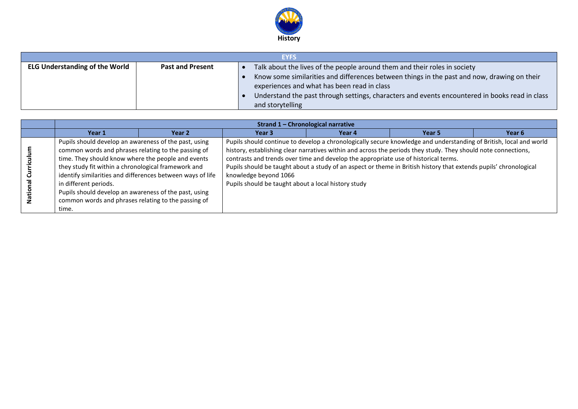

| <b>EYFS</b>                                                      |  |  |                                                                                                |  |  |  |
|------------------------------------------------------------------|--|--|------------------------------------------------------------------------------------------------|--|--|--|
| <b>ELG Understanding of the World</b><br><b>Past and Present</b> |  |  | Talk about the lives of the people around them and their roles in society                      |  |  |  |
|                                                                  |  |  | Know some similarities and differences between things in the past and now, drawing on their    |  |  |  |
|                                                                  |  |  | experiences and what has been read in class                                                    |  |  |  |
|                                                                  |  |  | Understand the past through settings, characters and events encountered in books read in class |  |  |  |
|                                                                  |  |  | and storytelling                                                                               |  |  |  |

|                   | Strand 1 - Chronological narrative                                                                                                                                                                                                                                                                                                                                                                                                        |        |                                                                              |                                                                                                                                                                                                                                                                                                                                                                                                                                                  |                   |        |  |
|-------------------|-------------------------------------------------------------------------------------------------------------------------------------------------------------------------------------------------------------------------------------------------------------------------------------------------------------------------------------------------------------------------------------------------------------------------------------------|--------|------------------------------------------------------------------------------|--------------------------------------------------------------------------------------------------------------------------------------------------------------------------------------------------------------------------------------------------------------------------------------------------------------------------------------------------------------------------------------------------------------------------------------------------|-------------------|--------|--|
|                   | Year 1                                                                                                                                                                                                                                                                                                                                                                                                                                    | Year 2 | Year 3                                                                       | Year 4                                                                                                                                                                                                                                                                                                                                                                                                                                           | Year <sub>5</sub> | Year 6 |  |
| ਰ<br>ă<br>Nationa | Pupils should develop an awareness of the past, using<br>common words and phrases relating to the passing of<br>time. They should know where the people and events<br>they study fit within a chronological framework and<br>identify similarities and differences between ways of life<br>in different periods.<br>Pupils should develop an awareness of the past, using<br>common words and phrases relating to the passing of<br>time. |        | knowledge beyond 1066<br>Pupils should be taught about a local history study | Pupils should continue to develop a chronologically secure knowledge and understanding of British, local and world<br>history, establishing clear narratives within and across the periods they study. They should note connections,<br>contrasts and trends over time and develop the appropriate use of historical terms.<br>Pupils should be taught about a study of an aspect or theme in British history that extends pupils' chronological |                   |        |  |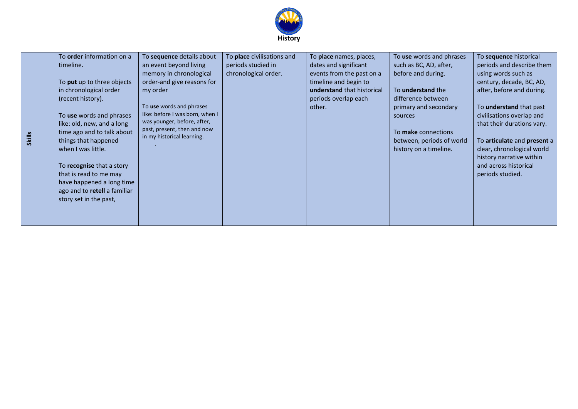

| To <b>order</b> information on a |                                 | To place civilisations and | To place names, places,    | To use words and phrases  | To sequence historical         |
|----------------------------------|---------------------------------|----------------------------|----------------------------|---------------------------|--------------------------------|
|                                  | To sequence details about       |                            |                            |                           |                                |
| timeline.                        | an event beyond living          | periods studied in         | dates and significant      | such as BC, AD, after,    | periods and describe them      |
|                                  | memory in chronological         | chronological order.       | events from the past on a  | before and during.        | using words such as            |
| To put up to three objects       | order-and give reasons for      |                            | timeline and begin to      |                           | century, decade, BC, AD,       |
| in chronological order           | my order                        |                            | understand that historical | To <b>understand</b> the  | after, before and during.      |
| (recent history).                |                                 |                            | periods overlap each       | difference between        |                                |
|                                  | To use words and phrases        |                            | other.                     | primary and secondary     | To <b>understand</b> that past |
| To use words and phrases         | like: before I was born, when I |                            |                            | sources                   | civilisations overlap and      |
| like: old, new, and a long       | was younger, before, after,     |                            |                            |                           | that their durations vary.     |
| time ago and to talk about       | past, present, then and now     |                            |                            | To make connections       |                                |
| things that happened             | in my historical learning.      |                            |                            | between, periods of world | To articulate and present a    |
| when I was little.               |                                 |                            |                            | history on a timeline.    | clear, chronological world     |
|                                  |                                 |                            |                            |                           | history narrative within       |
| To recognise that a story        |                                 |                            |                            |                           | and across historical          |
| that is read to me may           |                                 |                            |                            |                           | periods studied.               |
| have happened a long time        |                                 |                            |                            |                           |                                |
| ago and to retell a familiar     |                                 |                            |                            |                           |                                |
| story set in the past,           |                                 |                            |                            |                           |                                |
|                                  |                                 |                            |                            |                           |                                |
|                                  |                                 |                            |                            |                           |                                |
|                                  |                                 |                            |                            |                           |                                |

**Skills**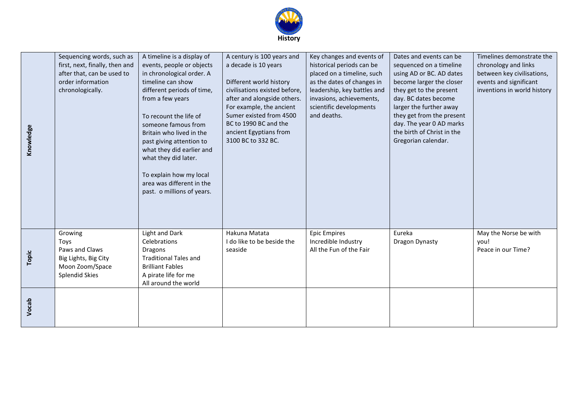

| Knowledge | Sequencing words, such as<br>first, next, finally, then and<br>after that, can be used to<br>order information<br>chronologically. | A timeline is a display of<br>events, people or objects<br>in chronological order. A<br>timeline can show<br>different periods of time,<br>from a few years<br>To recount the life of<br>someone famous from<br>Britain who lived in the<br>past giving attention to<br>what they did earlier and<br>what they did later.<br>To explain how my local<br>area was different in the<br>past. o millions of years. | A century is 100 years and<br>a decade is 10 years<br>Different world history<br>civilisations existed before,<br>after and alongside others.<br>For example, the ancient<br>Sumer existed from 4500<br>BC to 1990 BC and the<br>ancient Egyptians from<br>3100 BC to 332 BC. | Key changes and events of<br>historical periods can be<br>placed on a timeline, such<br>as the dates of changes in<br>leadership, key battles and<br>invasions, achievements,<br>scientific developments<br>and deaths. | Dates and events can be<br>sequenced on a timeline<br>using AD or BC. AD dates<br>become larger the closer<br>they get to the present<br>day. BC dates become<br>larger the further away<br>they get from the present<br>day. The year 0 AD marks<br>the birth of Christ in the<br>Gregorian calendar. | Timelines demonstrate the<br>chronology and links<br>between key civilisations,<br>events and significant<br>inventions in world history |
|-----------|------------------------------------------------------------------------------------------------------------------------------------|-----------------------------------------------------------------------------------------------------------------------------------------------------------------------------------------------------------------------------------------------------------------------------------------------------------------------------------------------------------------------------------------------------------------|-------------------------------------------------------------------------------------------------------------------------------------------------------------------------------------------------------------------------------------------------------------------------------|-------------------------------------------------------------------------------------------------------------------------------------------------------------------------------------------------------------------------|--------------------------------------------------------------------------------------------------------------------------------------------------------------------------------------------------------------------------------------------------------------------------------------------------------|------------------------------------------------------------------------------------------------------------------------------------------|
| Topic     | Growing<br>Toys<br>Paws and Claws<br>Big Lights, Big City<br>Moon Zoom/Space<br><b>Splendid Skies</b>                              | Light and Dark<br>Celebrations<br><b>Dragons</b><br><b>Traditional Tales and</b><br><b>Brilliant Fables</b><br>A pirate life for me<br>All around the world                                                                                                                                                                                                                                                     | Hakuna Matata<br>do like to be beside the<br>seaside                                                                                                                                                                                                                          | <b>Epic Empires</b><br>Incredible Industry<br>All the Fun of the Fair                                                                                                                                                   | Eureka<br>Dragon Dynasty                                                                                                                                                                                                                                                                               | May the Norse be with<br>you!<br>Peace in our Time?                                                                                      |
| Vocab     |                                                                                                                                    |                                                                                                                                                                                                                                                                                                                                                                                                                 |                                                                                                                                                                                                                                                                               |                                                                                                                                                                                                                         |                                                                                                                                                                                                                                                                                                        |                                                                                                                                          |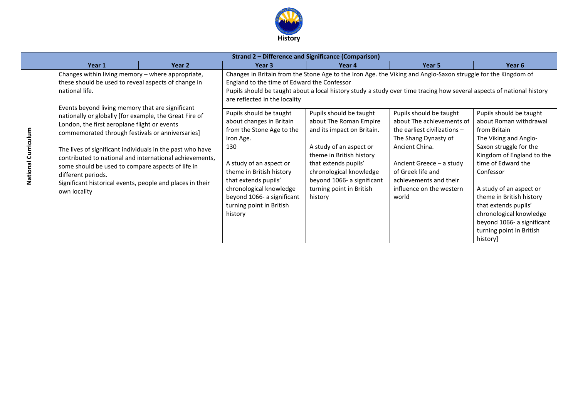

|                | <b>Strand 2 - Difference and Significance (Comparison)</b>                                                                                                                                                                                                                                                                                                                                                                                                                                                                                                                                                                   |                   |                                                                                                                                                                                                                                                                                                |                                                                                                                                                                                                                                                     |                                                                                                                                                                                                                                                                                                                                                                                                                                                                                   |                                                                                                                                                                                                                 |
|----------------|------------------------------------------------------------------------------------------------------------------------------------------------------------------------------------------------------------------------------------------------------------------------------------------------------------------------------------------------------------------------------------------------------------------------------------------------------------------------------------------------------------------------------------------------------------------------------------------------------------------------------|-------------------|------------------------------------------------------------------------------------------------------------------------------------------------------------------------------------------------------------------------------------------------------------------------------------------------|-----------------------------------------------------------------------------------------------------------------------------------------------------------------------------------------------------------------------------------------------------|-----------------------------------------------------------------------------------------------------------------------------------------------------------------------------------------------------------------------------------------------------------------------------------------------------------------------------------------------------------------------------------------------------------------------------------------------------------------------------------|-----------------------------------------------------------------------------------------------------------------------------------------------------------------------------------------------------------------|
|                | Year 1                                                                                                                                                                                                                                                                                                                                                                                                                                                                                                                                                                                                                       | Year <sub>2</sub> | Year <sub>3</sub>                                                                                                                                                                                                                                                                              | Year 4                                                                                                                                                                                                                                              | Year 5                                                                                                                                                                                                                                                                                                                                                                                                                                                                            | Year <sub>6</sub>                                                                                                                                                                                               |
| ටි<br>National | Changes within living memory - where appropriate,<br>these should be used to reveal aspects of change in<br>national life.<br>Events beyond living memory that are significant<br>nationally or globally [for example, the Great Fire of<br>London, the first aeroplane flight or events<br>commemorated through festivals or anniversaries]<br>The lives of significant individuals in the past who have<br>contributed to national and international achievements,<br>some should be used to compare aspects of life in<br>different periods.<br>Significant historical events, people and places in their<br>own locality |                   | England to the time of Edward the Confessor<br>are reflected in the locality<br>Pupils should be taught<br>about changes in Britain<br>from the Stone Age to the<br>Iron Age.<br>130<br>A study of an aspect or<br>theme in British history<br>that extends pupils'<br>chronological knowledge | Pupils should be taught<br>about The Roman Empire<br>and its impact on Britain.<br>A study of an aspect or<br>theme in British history<br>that extends pupils'<br>chronological knowledge<br>beyond 1066- a significant<br>turning point in British | Changes in Britain from the Stone Age to the Iron Age. the Viking and Anglo-Saxon struggle for the Kingdom of<br>Pupils should be taught about a local history study a study over time tracing how several aspects of national history<br>Pupils should be taught<br>about The achievements of<br>the earliest civilizations $-$<br>The Shang Dynasty of<br>Ancient China.<br>Ancient Greece - a study<br>of Greek life and<br>achievements and their<br>influence on the western | Pupils should be taught<br>about Roman withdrawal<br>from Britain<br>The Viking and Anglo-<br>Saxon struggle for the<br>Kingdom of England to the<br>time of Edward the<br>Confessor<br>A study of an aspect or |
|                |                                                                                                                                                                                                                                                                                                                                                                                                                                                                                                                                                                                                                              |                   | beyond 1066- a significant<br>turning point in British<br>history                                                                                                                                                                                                                              | history                                                                                                                                                                                                                                             | world                                                                                                                                                                                                                                                                                                                                                                                                                                                                             | theme in British history<br>that extends pupils'<br>chronological knowledge<br>beyond 1066- a significant<br>turning point in British<br>history]                                                               |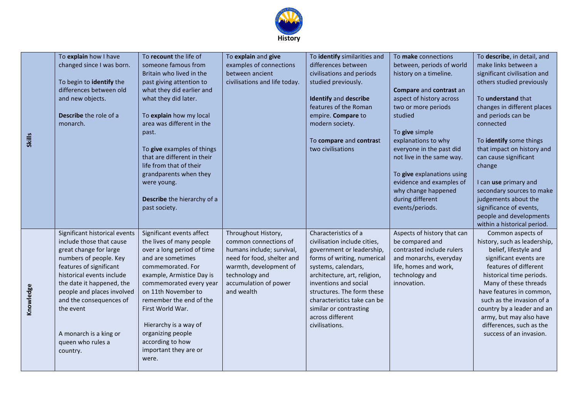

|               | To explain how I have         | To recount the life of                               | To explain and give           | To identify similarities and | To make connections         | To describe, in detail, and  |
|---------------|-------------------------------|------------------------------------------------------|-------------------------------|------------------------------|-----------------------------|------------------------------|
|               | changed since I was born.     | someone famous from                                  | examples of connections       | differences between          | between, periods of world   | make links between a         |
|               |                               | Britain who lived in the                             | between ancient               | civilisations and periods    | history on a timeline.      | significant civilisation and |
|               | To begin to identify the      | past giving attention to                             | civilisations and life today. | studied previously.          |                             | others studied previously    |
|               | differences between old       | what they did earlier and                            |                               |                              | Compare and contrast an     |                              |
|               |                               |                                                      |                               | <b>Identify and describe</b> | aspect of history across    | To understand that           |
|               | and new objects.              | what they did later.                                 |                               | features of the Roman        | two or more periods         | changes in different places  |
|               | Describe the role of a        |                                                      |                               |                              |                             |                              |
|               |                               | To explain how my local<br>area was different in the |                               | empire. Compare to           | studied                     | and periods can be           |
|               | monarch.                      |                                                      |                               | modern society.              |                             | connected                    |
|               |                               | past.                                                |                               |                              | To give simple              |                              |
| <b>Skills</b> |                               |                                                      |                               | To compare and contrast      | explanations to why         | To identify some things      |
|               |                               | To give examples of things                           |                               | two civilisations            | everyone in the past did    | that impact on history and   |
|               |                               | that are different in their                          |                               |                              | not live in the same way.   | can cause significant        |
|               |                               | life from that of their                              |                               |                              |                             | change                       |
|               |                               | grandparents when they                               |                               |                              | To give explanations using  |                              |
|               |                               | were young.                                          |                               |                              | evidence and examples of    | I can use primary and        |
|               |                               |                                                      |                               |                              | why change happened         | secondary sources to make    |
|               |                               | Describe the hierarchy of a                          |                               |                              | during different            | judgements about the         |
|               |                               | past society.                                        |                               |                              | events/periods.             | significance of events,      |
|               |                               |                                                      |                               |                              |                             | people and developments      |
|               |                               |                                                      |                               |                              |                             | within a historical period.  |
|               | Significant historical events | Significant events affect                            | Throughout History,           | Characteristics of a         | Aspects of history that can | Common aspects of            |
|               | include those that cause      | the lives of many people                             | common connections of         | civilisation include cities, | be compared and             | history, such as leadership, |
|               | great change for large        | over a long period of time                           | humans include; survival,     | government or leadership,    | contrasted include rulers   | belief, lifestyle and        |
|               | numbers of people. Key        | and are sometimes                                    | need for food, shelter and    | forms of writing, numerical  | and monarchs, everyday      | significant events are       |
|               | features of significant       | commemorated. For                                    | warmth, development of        | systems, calendars,          | life, homes and work,       | features of different        |
|               | historical events include     | example, Armistice Day is                            | technology and                | architecture, art, religion, | technology and              | historical time periods.     |
|               | the date it happened, the     | commemorated every year                              | accumulation of power         | inventions and social        | innovation.                 | Many of these threads        |
|               | people and places involved    | on 11th November to                                  | and wealth                    | structures. The form these   |                             | have features in common,     |
|               | and the consequences of       | remember the end of the                              |                               | characteristics take can be  |                             | such as the invasion of a    |
| Knowledge     | the event                     | First World War.                                     |                               | similar or contrasting       |                             | country by a leader and an   |
|               |                               |                                                      |                               | across different             |                             | army, but may also have      |
|               |                               | Hierarchy is a way of                                |                               | civilisations.               |                             | differences, such as the     |
|               | A monarch is a king or        | organizing people                                    |                               |                              |                             | success of an invasion.      |
|               | queen who rules a             | according to how                                     |                               |                              |                             |                              |
|               | country.                      | important they are or                                |                               |                              |                             |                              |
|               |                               | were.                                                |                               |                              |                             |                              |
|               |                               |                                                      |                               |                              |                             |                              |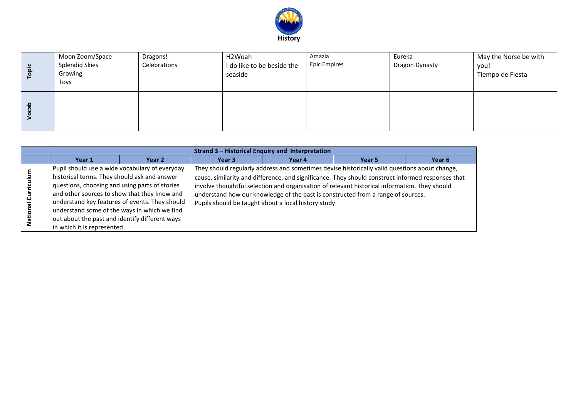

| $\ddot{a}$<br>$\circ$ | Moon Zoom/Space<br><b>Splendid Skies</b><br>Growing<br>Toys | Dragons!<br>Celebrations | H2Woah<br>I do like to be beside the<br>seaside | Amazia<br><b>Epic Empires</b> | Eureka<br>Dragon Dynasty | May the Norse be with<br>you!<br>Tiempo de Fiesta |
|-----------------------|-------------------------------------------------------------|--------------------------|-------------------------------------------------|-------------------------------|--------------------------|---------------------------------------------------|
| ≏                     |                                                             |                          |                                                 |                               |                          |                                                   |

|           | <b>Strand 3 - Historical Enquiry and Interpretation</b>                                                                                                                                                                                                                                                                                                                             |        |        |                                                                                                                                                                                                                                                                                                                                                                                                                                                |        |                   |  |
|-----------|-------------------------------------------------------------------------------------------------------------------------------------------------------------------------------------------------------------------------------------------------------------------------------------------------------------------------------------------------------------------------------------|--------|--------|------------------------------------------------------------------------------------------------------------------------------------------------------------------------------------------------------------------------------------------------------------------------------------------------------------------------------------------------------------------------------------------------------------------------------------------------|--------|-------------------|--|
|           | Year 1                                                                                                                                                                                                                                                                                                                                                                              | Year 2 | Year 3 | Year 4                                                                                                                                                                                                                                                                                                                                                                                                                                         | Year 5 | Year <sub>6</sub> |  |
| o<br>Nati | Pupil should use a wide vocabulary of everyday<br>historical terms. They should ask and answer<br>questions, choosing and using parts of stories<br>and other sources to show that they know and<br>understand key features of events. They should<br>understand some of the ways in which we find<br>out about the past and identify different ways<br>in which it is represented. |        |        | They should regularly address and sometimes devise historically valid questions about change,<br>cause, similarity and difference, and significance. They should construct informed responses that<br>involve thoughtful selection and organisation of relevant historical information. They should<br>understand how our knowledge of the past is constructed from a range of sources.<br>Pupils should be taught about a local history study |        |                   |  |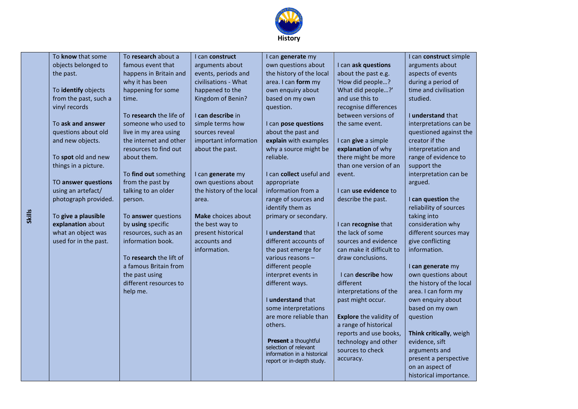

| To know that some     | To research about a     | I can construct          | I can generate my           |                                | I can construct simple   |
|-----------------------|-------------------------|--------------------------|-----------------------------|--------------------------------|--------------------------|
| objects belonged to   | famous event that       | arguments about          | own questions about         | I can ask questions            | arguments about          |
| the past.             | happens in Britain and  | events, periods and      | the history of the local    | about the past e.g.            | aspects of events        |
|                       | why it has been         | civilisations - What     | area. I can form my         | 'How did people?               | during a period of       |
| To identify objects   | happening for some      | happened to the          | own enquiry about           | What did people?'              | time and civilisation    |
| from the past, such a | time.                   | Kingdom of Benin?        | based on my own             | and use this to                | studied.                 |
| vinyl records         |                         |                          | question.                   | recognise differences          |                          |
|                       | To research the life of | I can describe in        |                             | between versions of            | I understand that        |
| To ask and answer     | someone who used to     | simple terms how         | I can pose questions        | the same event.                | interpretations can be   |
| questions about old   | live in my area using   | sources reveal           | about the past and          |                                | questioned against the   |
| and new objects.      | the internet and other  | important information    | explain with examples       | I can give a simple            | creator if the           |
|                       | resources to find out   | about the past.          | why a source might be       | explanation of why             | interpretation and       |
| To spot old and new   | about them.             |                          | reliable.                   | there might be more            | range of evidence to     |
| things in a picture.  |                         |                          |                             | than one version of an         | support the              |
|                       | To find out something   | I can generate my        | I can collect useful and    | event.                         | interpretation can be    |
| TO answer questions   | from the past by        | own questions about      | appropriate                 |                                | argued.                  |
| using an artefact/    | talking to an older     | the history of the local | information from a          | I can use evidence to          |                          |
| photograph provided.  | person.                 | area.                    | range of sources and        | describe the past.             | I can question the       |
|                       |                         |                          | identify them as            |                                | reliability of sources   |
| To give a plausible   | To answer questions     | Make choices about       | primary or secondary.       |                                | taking into              |
| explanation about     | by using specific       | the best way to          |                             | I can recognise that           | consideration why        |
| what an object was    | resources, such as an   | present historical       | I understand that           | the lack of some               | different sources may    |
| used for in the past. | information book.       | accounts and             | different accounts of       | sources and evidence           | give conflicting         |
|                       |                         | information.             | the past emerge for         | can make it difficult to       | information.             |
|                       | To research the lift of |                          | various reasons -           | draw conclusions.              |                          |
|                       | a famous Britain from   |                          | different people            |                                | I can generate my        |
|                       | the past using          |                          | interpret events in         | I can describe how             | own questions about      |
|                       | different resources to  |                          | different ways.             | different                      | the history of the local |
|                       | help me.                |                          |                             | interpretations of the         | area. I can form my      |
|                       |                         |                          | I understand that           | past might occur.              | own enquiry about        |
|                       |                         |                          | some interpretations        |                                | based on my own          |
|                       |                         |                          | are more reliable than      | <b>Explore</b> the validity of | question                 |
|                       |                         |                          | others.                     | a range of historical          |                          |
|                       |                         |                          | <b>Present</b> a thoughtful | reports and use books,         | Think critically, weigh  |
|                       |                         |                          | selection of relevant       | technology and other           | evidence, sift           |
|                       |                         |                          | information in a historical | sources to check               | arguments and            |
|                       |                         |                          | report or in-depth study.   | accuracy.                      | present a perspective    |
|                       |                         |                          |                             |                                | on an aspect of          |
|                       |                         |                          |                             |                                | historical importance.   |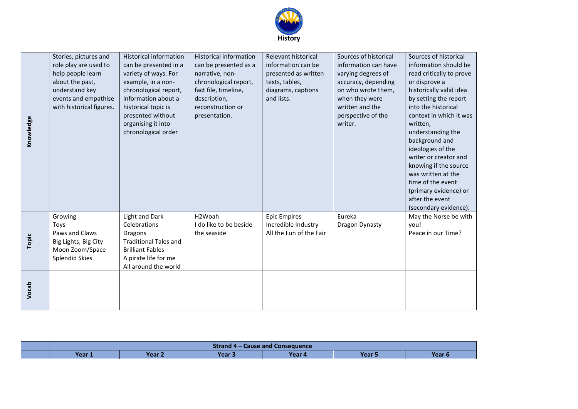

| Knowledge | Stories, pictures and<br>role play are used to<br>help people learn<br>about the past,<br>understand key<br>events and empathise<br>with historical figures. | <b>Historical information</b><br>can be presented in a<br>variety of ways. For<br>example, in a non-<br>chronological report,<br>information about a<br>historical topic is<br>presented without<br>organising it into<br>chronological order | <b>Historical information</b><br>can be presented as a<br>narrative, non-<br>chronological report,<br>fact file, timeline,<br>description,<br>reconstruction or<br>presentation. | Relevant historical<br>information can be<br>presented as written<br>texts, tables,<br>diagrams, captions<br>and lists. | Sources of historical<br>information can have<br>varying degrees of<br>accuracy, depending<br>on who wrote them,<br>when they were<br>written and the<br>perspective of the<br>writer. | Sources of historical<br>information should be<br>read critically to prove<br>or disprove a<br>historically valid idea<br>by setting the report<br>into the historical<br>context in which it was<br>written,<br>understanding the<br>background and<br>ideologies of the<br>writer or creator and<br>knowing if the source<br>was written at the<br>time of the event<br>(primary evidence) or<br>after the event<br>(secondary evidence). |
|-----------|--------------------------------------------------------------------------------------------------------------------------------------------------------------|-----------------------------------------------------------------------------------------------------------------------------------------------------------------------------------------------------------------------------------------------|----------------------------------------------------------------------------------------------------------------------------------------------------------------------------------|-------------------------------------------------------------------------------------------------------------------------|----------------------------------------------------------------------------------------------------------------------------------------------------------------------------------------|---------------------------------------------------------------------------------------------------------------------------------------------------------------------------------------------------------------------------------------------------------------------------------------------------------------------------------------------------------------------------------------------------------------------------------------------|
| Topic     | Growing<br>Toys<br>Paws and Claws<br>Big Lights, Big City<br>Moon Zoom/Space<br><b>Splendid Skies</b>                                                        | <b>Light and Dark</b><br>Celebrations<br><b>Dragons</b><br><b>Traditional Tales and</b><br><b>Brilliant Fables</b><br>A pirate life for me<br>All around the world                                                                            | H2Woah<br>I do like to be beside<br>the seaside                                                                                                                                  | <b>Epic Empires</b><br>Incredible Industry<br>All the Fun of the Fair                                                   | Eureka<br>Dragon Dynasty                                                                                                                                                               | May the Norse be with<br>you!<br>Peace in our Time?                                                                                                                                                                                                                                                                                                                                                                                         |
| Vocab     |                                                                                                                                                              |                                                                                                                                                                                                                                               |                                                                                                                                                                                  |                                                                                                                         |                                                                                                                                                                                        |                                                                                                                                                                                                                                                                                                                                                                                                                                             |

|        | Strand 4 – Cause and Consequence |        |        |       |        |  |
|--------|----------------------------------|--------|--------|-------|--------|--|
| Year 1 | <b>Year ∠</b>                    | Year 5 | Year 4 | Year! | Year 6 |  |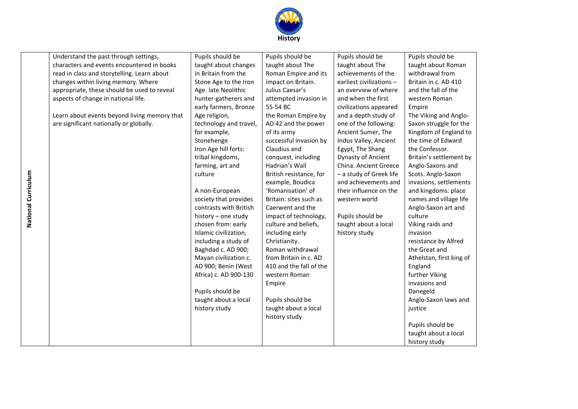

| Understand the past through settings,<br>characters and events encountered in books<br>read in class and storytelling. Learn about<br>changes within living memory. Where<br>appropriate, these should be used to reveal<br>aspects of change in national life.<br>Learn about events beyond living memory that<br>are significant nationally or globally. | Pupils should be<br>taught about changes<br>in Britain from the<br>Stone Age to the Iron<br>Age. late Neolithic<br>hunter-gatherers and<br>early farmers, Bronze<br>Age religion,<br>technology and travel,<br>for example,<br>Stonehenge<br>Iron Age hill forts:<br>tribal kingdoms,<br>farming, art and<br>culture | Pupils should be<br>taught about The<br>Roman Empire and its<br>impact on Britain.<br>Julius Caesar's<br>attempted invasion in<br>55-54 BC<br>the Roman Empire by<br>AD 42 and the power<br>of its army<br>successful invasion by<br>Claudius and<br>conquest, including<br>Hadrian's Wall<br>British resistance, for<br>example, Boudica | Pupils should be<br>taught about The<br>achievements of the<br>earliest civilizations -<br>an overview of where<br>and when the first<br>civilizations appeared<br>and a depth study of<br>one of the following:<br>Ancient Sumer, The<br>Indus Valley, Ancient<br>Egypt, The Shang<br>Dynasty of Ancient<br>China. Ancient Greece<br>- a study of Greek life<br>and achievements and | Pupils should be<br>taught about Roman<br>withdrawal from<br>Britain in c. AD 410<br>and the fall of the<br>western Roman<br>Empire<br>The Viking and Anglo-<br>Saxon struggle for the<br>Kingdom of England to<br>the time of Edward<br>the Confessor.<br>Britain's settlement by<br>Anglo-Saxons and<br>Scots. Anglo-Saxon<br>invasions, settlements |
|------------------------------------------------------------------------------------------------------------------------------------------------------------------------------------------------------------------------------------------------------------------------------------------------------------------------------------------------------------|----------------------------------------------------------------------------------------------------------------------------------------------------------------------------------------------------------------------------------------------------------------------------------------------------------------------|-------------------------------------------------------------------------------------------------------------------------------------------------------------------------------------------------------------------------------------------------------------------------------------------------------------------------------------------|---------------------------------------------------------------------------------------------------------------------------------------------------------------------------------------------------------------------------------------------------------------------------------------------------------------------------------------------------------------------------------------|--------------------------------------------------------------------------------------------------------------------------------------------------------------------------------------------------------------------------------------------------------------------------------------------------------------------------------------------------------|
|                                                                                                                                                                                                                                                                                                                                                            | A non-European<br>society that provides                                                                                                                                                                                                                                                                              | 'Romanisation' of<br>Britain: sites such as                                                                                                                                                                                                                                                                                               | their influence on the<br>western world                                                                                                                                                                                                                                                                                                                                               | and kingdoms: place<br>names and village life                                                                                                                                                                                                                                                                                                          |
|                                                                                                                                                                                                                                                                                                                                                            | contrasts with British                                                                                                                                                                                                                                                                                               | Caerwent and the                                                                                                                                                                                                                                                                                                                          |                                                                                                                                                                                                                                                                                                                                                                                       | Anglo-Saxon art and                                                                                                                                                                                                                                                                                                                                    |
|                                                                                                                                                                                                                                                                                                                                                            | history - one study                                                                                                                                                                                                                                                                                                  | impact of technology,                                                                                                                                                                                                                                                                                                                     | Pupils should be                                                                                                                                                                                                                                                                                                                                                                      | culture                                                                                                                                                                                                                                                                                                                                                |
|                                                                                                                                                                                                                                                                                                                                                            | chosen from: early                                                                                                                                                                                                                                                                                                   | culture and beliefs,                                                                                                                                                                                                                                                                                                                      | taught about a local                                                                                                                                                                                                                                                                                                                                                                  | Viking raids and                                                                                                                                                                                                                                                                                                                                       |
|                                                                                                                                                                                                                                                                                                                                                            | Islamic civilization,                                                                                                                                                                                                                                                                                                | including early                                                                                                                                                                                                                                                                                                                           | history study                                                                                                                                                                                                                                                                                                                                                                         | invasion                                                                                                                                                                                                                                                                                                                                               |
|                                                                                                                                                                                                                                                                                                                                                            | including a study of                                                                                                                                                                                                                                                                                                 | Christianity.                                                                                                                                                                                                                                                                                                                             |                                                                                                                                                                                                                                                                                                                                                                                       | resistance by Alfred                                                                                                                                                                                                                                                                                                                                   |
|                                                                                                                                                                                                                                                                                                                                                            | Baghdad c. AD 900;                                                                                                                                                                                                                                                                                                   | Roman withdrawal                                                                                                                                                                                                                                                                                                                          |                                                                                                                                                                                                                                                                                                                                                                                       | the Great and                                                                                                                                                                                                                                                                                                                                          |
|                                                                                                                                                                                                                                                                                                                                                            | Mayan civilization c.<br>AD 900; Benin (West                                                                                                                                                                                                                                                                         | from Britain in c. AD<br>410 and the fall of the                                                                                                                                                                                                                                                                                          |                                                                                                                                                                                                                                                                                                                                                                                       | Athelstan, first king of<br>England                                                                                                                                                                                                                                                                                                                    |
|                                                                                                                                                                                                                                                                                                                                                            | Africa) c. AD 900-130                                                                                                                                                                                                                                                                                                | western Roman                                                                                                                                                                                                                                                                                                                             |                                                                                                                                                                                                                                                                                                                                                                                       | further Viking                                                                                                                                                                                                                                                                                                                                         |
|                                                                                                                                                                                                                                                                                                                                                            |                                                                                                                                                                                                                                                                                                                      | Empire                                                                                                                                                                                                                                                                                                                                    |                                                                                                                                                                                                                                                                                                                                                                                       | invasions and                                                                                                                                                                                                                                                                                                                                          |
|                                                                                                                                                                                                                                                                                                                                                            | Pupils should be                                                                                                                                                                                                                                                                                                     |                                                                                                                                                                                                                                                                                                                                           |                                                                                                                                                                                                                                                                                                                                                                                       | Danegeld                                                                                                                                                                                                                                                                                                                                               |
|                                                                                                                                                                                                                                                                                                                                                            | taught about a local                                                                                                                                                                                                                                                                                                 | Pupils should be                                                                                                                                                                                                                                                                                                                          |                                                                                                                                                                                                                                                                                                                                                                                       | Anglo-Saxon laws and                                                                                                                                                                                                                                                                                                                                   |
|                                                                                                                                                                                                                                                                                                                                                            | history study                                                                                                                                                                                                                                                                                                        | taught about a local                                                                                                                                                                                                                                                                                                                      |                                                                                                                                                                                                                                                                                                                                                                                       | justice                                                                                                                                                                                                                                                                                                                                                |
|                                                                                                                                                                                                                                                                                                                                                            |                                                                                                                                                                                                                                                                                                                      | history study                                                                                                                                                                                                                                                                                                                             |                                                                                                                                                                                                                                                                                                                                                                                       |                                                                                                                                                                                                                                                                                                                                                        |
|                                                                                                                                                                                                                                                                                                                                                            |                                                                                                                                                                                                                                                                                                                      |                                                                                                                                                                                                                                                                                                                                           |                                                                                                                                                                                                                                                                                                                                                                                       | Pupils should be                                                                                                                                                                                                                                                                                                                                       |
|                                                                                                                                                                                                                                                                                                                                                            |                                                                                                                                                                                                                                                                                                                      |                                                                                                                                                                                                                                                                                                                                           |                                                                                                                                                                                                                                                                                                                                                                                       | taught about a local                                                                                                                                                                                                                                                                                                                                   |
|                                                                                                                                                                                                                                                                                                                                                            |                                                                                                                                                                                                                                                                                                                      |                                                                                                                                                                                                                                                                                                                                           |                                                                                                                                                                                                                                                                                                                                                                                       | history study                                                                                                                                                                                                                                                                                                                                          |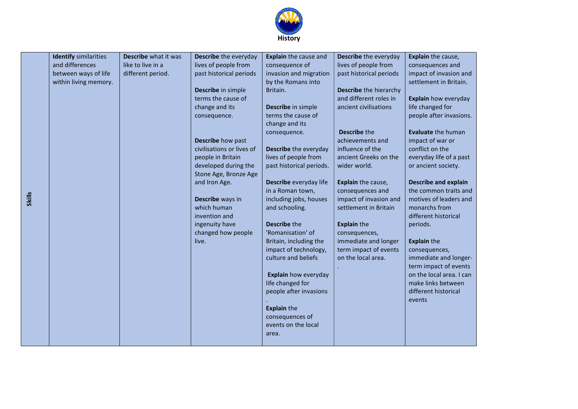

| <b>Identify</b> similarities | Describe what it was | Describe the everyday     | Explain the cause and                        | Describe the everyday                       | Explain the cause,                     |
|------------------------------|----------------------|---------------------------|----------------------------------------------|---------------------------------------------|----------------------------------------|
| and differences              | like to live in a    | lives of people from      | consequence of                               | lives of people from                        | consequences and                       |
| between ways of life         | different period.    | past historical periods   | invasion and migration                       | past historical periods                     | impact of invasion and                 |
| within living memory.        |                      |                           | by the Romans into                           |                                             | settlement in Britain.                 |
|                              |                      | Describe in simple        | Britain.                                     | Describe the hierarchy                      |                                        |
|                              |                      | terms the cause of        |                                              | and different roles in                      | Explain how everyday                   |
|                              |                      | change and its            | Describe in simple                           | ancient civilisations                       | life changed for                       |
|                              |                      | consequence.              | terms the cause of                           |                                             | people after invasions.                |
|                              |                      |                           | change and its                               |                                             |                                        |
|                              |                      |                           | consequence.                                 | <b>Describe the</b>                         | <b>Evaluate the human</b>              |
|                              |                      | Describe how past         |                                              | achievements and                            | impact of war or                       |
|                              |                      | civilisations or lives of | Describe the everyday                        | influence of the                            | conflict on the                        |
|                              |                      | people in Britain         | lives of people from                         | ancient Greeks on the                       | everyday life of a past                |
|                              |                      | developed during the      | past historical periods.                     | wider world.                                | or ancient society.                    |
|                              |                      | Stone Age, Bronze Age     |                                              |                                             |                                        |
|                              |                      | and Iron Age.             | Describe everyday life                       | Explain the cause,                          | <b>Describe and explain</b>            |
|                              |                      |                           | in a Roman town,                             | consequences and                            | the common traits and                  |
|                              |                      | Describe ways in          | including jobs, houses                       | impact of invasion and                      | motives of leaders and                 |
|                              |                      | which human               | and schooling.                               | settlement in Britain                       | monarchs from                          |
|                              |                      | invention and             |                                              |                                             | different historical                   |
|                              |                      | ingenuity have            | <b>Describe the</b>                          | <b>Explain the</b>                          | periods.                               |
|                              |                      | changed how people        | 'Romanisation' of                            | consequences,                               |                                        |
|                              |                      | live.                     | Britain, including the                       | immediate and longer                        | <b>Explain the</b>                     |
|                              |                      |                           | impact of technology,<br>culture and beliefs | term impact of events<br>on the local area. | consequences,<br>immediate and longer- |
|                              |                      |                           |                                              |                                             | term impact of events                  |
|                              |                      |                           | Explain how everyday                         |                                             | on the local area. I can               |
|                              |                      |                           | life changed for                             |                                             | make links between                     |
|                              |                      |                           | people after invasions                       |                                             | different historical                   |
|                              |                      |                           |                                              |                                             | events                                 |
|                              |                      |                           | <b>Explain the</b>                           |                                             |                                        |
|                              |                      |                           | consequences of                              |                                             |                                        |
|                              |                      |                           | events on the local                          |                                             |                                        |
|                              |                      |                           | area.                                        |                                             |                                        |
|                              |                      |                           |                                              |                                             |                                        |

**Skills**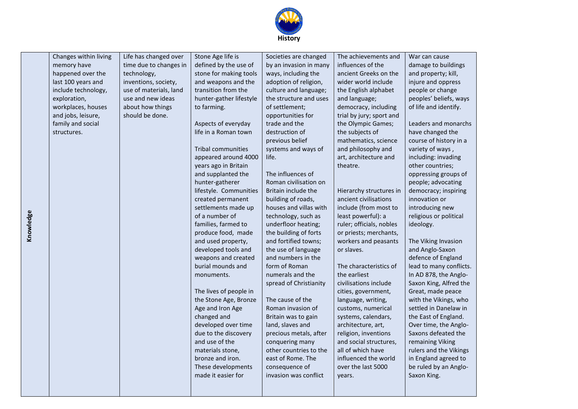

| Changes within living | Life has changed over  | Stone Age life is         | Societies are changed  | The achievements and     | War can cause           |
|-----------------------|------------------------|---------------------------|------------------------|--------------------------|-------------------------|
| memory have           | time due to changes in | defined by the use of     | by an invasion in many | influences of the        | damage to buildings     |
| happened over the     | technology,            | stone for making tools    | ways, including the    | ancient Greeks on the    | and property; kill,     |
| last 100 years and    | inventions, society,   | and weapons and the       | adoption of religion,  | wider world include      | injure and oppress      |
| include technology,   | use of materials, land | transition from the       | culture and language;  | the English alphabet     | people or change        |
| exploration,          | use and new ideas      | hunter-gather lifestyle   | the structure and uses | and language;            | peoples' beliefs, ways  |
| workplaces, houses    | about how things       | to farming.               | of settlement;         | democracy, including     | of life and identify.   |
| and jobs, leisure,    | should be done.        |                           | opportunities for      | trial by jury; sport and |                         |
| family and social     |                        | Aspects of everyday       | trade and the          | the Olympic Games;       | Leaders and monarchs    |
| structures.           |                        | life in a Roman town      | destruction of         | the subjects of          | have changed the        |
|                       |                        |                           | previous belief        | mathematics, science     | course of history in a  |
|                       |                        | <b>Tribal communities</b> | systems and ways of    | and philosophy and       | variety of ways,        |
|                       |                        | appeared around 4000      | life.                  | art, architecture and    | including: invading     |
|                       |                        | years ago in Britain      |                        | theatre.                 | other countries;        |
|                       |                        | and supplanted the        | The influences of      |                          | oppressing groups of    |
|                       |                        | hunter-gatherer           | Roman civilisation on  |                          | people; advocating      |
|                       |                        | lifestyle. Communities    | Britain include the    | Hierarchy structures in  | democracy; inspiring    |
|                       |                        | created permanent         | building of roads,     | ancient civilisations    | innovation or           |
|                       |                        | settlements made up       | houses and villas with | include (from most to    | introducing new         |
|                       |                        | of a number of            | technology, such as    | least powerful): a       | religious or political  |
|                       |                        | families, farmed to       | underfloor heating;    | ruler; officials, nobles | ideology.               |
|                       |                        | produce food, made        | the building of forts  | or priests; merchants,   |                         |
|                       |                        | and used property,        | and fortified towns;   | workers and peasants     | The Viking Invasion     |
|                       |                        | developed tools and       | the use of language    | or slaves.               | and Anglo-Saxon         |
|                       |                        | weapons and created       | and numbers in the     |                          | defence of England      |
|                       |                        | burial mounds and         | form of Roman          | The characteristics of   | lead to many conflicts. |
|                       |                        | monuments.                | numerals and the       | the earliest             | In AD 878, the Anglo-   |
|                       |                        |                           | spread of Christianity | civilisations include    | Saxon King, Alfred the  |
|                       |                        | The lives of people in    |                        | cities, government,      | Great, made peace       |
|                       |                        | the Stone Age, Bronze     | The cause of the       | language, writing,       | with the Vikings, who   |
|                       |                        | Age and Iron Age          | Roman invasion of      | customs, numerical       | settled in Danelaw in   |
|                       |                        | changed and               | Britain was to gain    | systems, calendars,      | the East of England.    |
|                       |                        | developed over time       | land, slaves and       | architecture, art,       | Over time, the Anglo-   |
|                       |                        | due to the discovery      | precious metals, after | religion, inventions     | Saxons defeated the     |
|                       |                        | and use of the            | conquering many        | and social structures,   | remaining Viking        |
|                       |                        | materials stone,          | other countries to the | all of which have        | rulers and the Vikings  |
|                       |                        | bronze and iron.          | east of Rome. The      | influenced the world     | in England agreed to    |
|                       |                        | These developments        | consequence of         | over the last 5000       | be ruled by an Anglo-   |
|                       |                        | made it easier for        | invasion was conflict  | years.                   | Saxon King.             |
|                       |                        |                           |                        |                          |                         |
|                       |                        |                           |                        |                          |                         |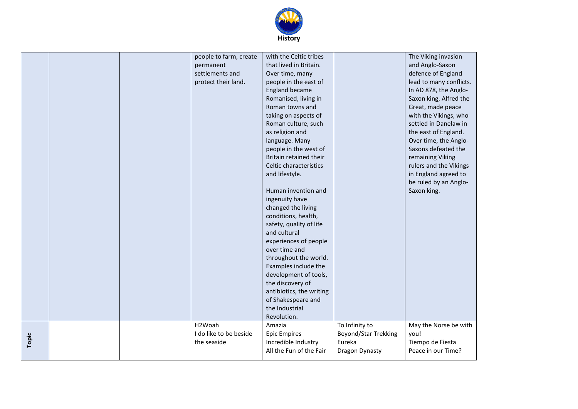

|       |  | people to farm, create | with the Celtic tribes   |                      | The Viking invasion     |
|-------|--|------------------------|--------------------------|----------------------|-------------------------|
|       |  | permanent              | that lived in Britain.   |                      | and Anglo-Saxon         |
|       |  | settlements and        | Over time, many          |                      | defence of England      |
|       |  | protect their land.    | people in the east of    |                      | lead to many conflicts. |
|       |  |                        | England became           |                      | In AD 878, the Anglo-   |
|       |  |                        | Romanised, living in     |                      | Saxon king, Alfred the  |
|       |  |                        | Roman towns and          |                      | Great, made peace       |
|       |  |                        | taking on aspects of     |                      | with the Vikings, who   |
|       |  |                        | Roman culture, such      |                      | settled in Danelaw in   |
|       |  |                        | as religion and          |                      | the east of England.    |
|       |  |                        | language. Many           |                      | Over time, the Anglo-   |
|       |  |                        | people in the west of    |                      | Saxons defeated the     |
|       |  |                        | Britain retained their   |                      | remaining Viking        |
|       |  |                        | Celtic characteristics   |                      | rulers and the Vikings  |
|       |  |                        | and lifestyle.           |                      | in England agreed to    |
|       |  |                        |                          |                      | be ruled by an Anglo-   |
|       |  |                        | Human invention and      |                      | Saxon king.             |
|       |  |                        | ingenuity have           |                      |                         |
|       |  |                        | changed the living       |                      |                         |
|       |  |                        | conditions, health,      |                      |                         |
|       |  |                        | safety, quality of life  |                      |                         |
|       |  |                        | and cultural             |                      |                         |
|       |  |                        | experiences of people    |                      |                         |
|       |  |                        | over time and            |                      |                         |
|       |  |                        | throughout the world.    |                      |                         |
|       |  |                        | Examples include the     |                      |                         |
|       |  |                        | development of tools,    |                      |                         |
|       |  |                        | the discovery of         |                      |                         |
|       |  |                        | antibiotics, the writing |                      |                         |
|       |  |                        | of Shakespeare and       |                      |                         |
|       |  |                        | the Industrial           |                      |                         |
|       |  |                        | Revolution.              |                      |                         |
|       |  | H <sub>2</sub> Woah    | Amazia                   | To Infinity to       | May the Norse be with   |
|       |  | I do like to be beside | <b>Epic Empires</b>      | Beyond/Star Trekking | you!                    |
| Topic |  | the seaside            | Incredible Industry      | Eureka               | Tiempo de Fiesta        |
|       |  |                        | All the Fun of the Fair  | Dragon Dynasty       | Peace in our Time?      |
|       |  |                        |                          |                      |                         |